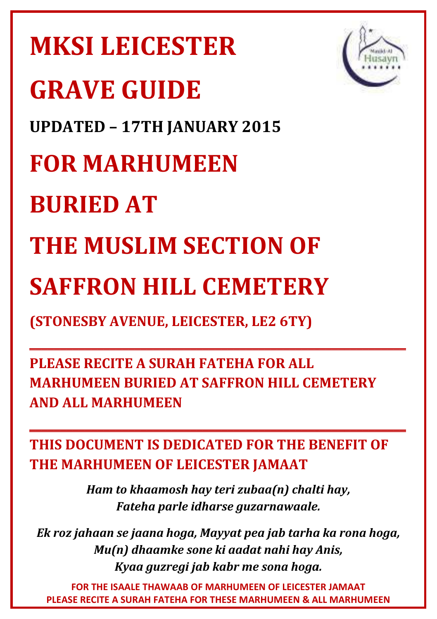# **MKSI LEICESTER GRAVE GUIDE UPDATED – 17TH JANUARY 2015 FOR MARHUMEEN BURIED AT THE MUSLIM SECTION OF** THE MUSLIM SECTION OF<br>SAFFRON HILL CEMETERY **(STONESBY AVENUE, LEICESTER, LE2 6TY)**

**PLEASE RECITE A SURAH FATEHA FOR ALL**  PLEASE RECITE A SURAH FATEHA FOR ALL<br>MARHUMEEN BURIED AT SAFFRON HILL <mark>CEMETERY</mark> **AND ALL MARHUMEEN** 

**\_\_\_\_\_\_\_\_\_\_\_\_\_\_\_\_\_\_\_\_\_\_\_\_\_\_\_\_\_\_\_\_\_\_\_\_\_\_\_\_\_\_\_\_\_\_\_\_\_\_**

**\_\_\_\_\_\_\_\_\_\_\_\_\_\_\_\_\_\_\_\_\_\_\_\_\_\_\_\_\_\_\_\_\_\_\_\_\_\_\_\_\_\_\_\_\_\_\_\_\_\_**

**THIS DOCUMENT IS DEDICATED FOR THE BEN BENEFIT OF THE MARHUMEEN OF LEICESTER JAMAAT** 

> *Ham to khaamosh hay teri zubaa(n) chalti h lti hay, Fateha parle idharse guzarnawaale.*

*Ek roz jahaan se jaana hoga, Mayyat pea jab tarha ka ale.rha ka rona hoga, Mu(n) dhaamke sone ki aadat nahi hay Ani ay Anis, Kyaa guzregi jab kabr me sona hoga. ga.*

**FOR THE ISAALE THAWAAB OF MARHUMEEN OF LEICESTER STER JAMAAT PLEASE RECITE A SURAH FATEHA FOR THESE MARHUMEEN & AL ALL MARHUMEEN**



**\_\_\_\_\_\_\_\_\_\_\_\_\_\_\_\_\_\_**

**\_\_\_\_\_\_\_\_\_\_\_\_\_\_\_\_\_\_**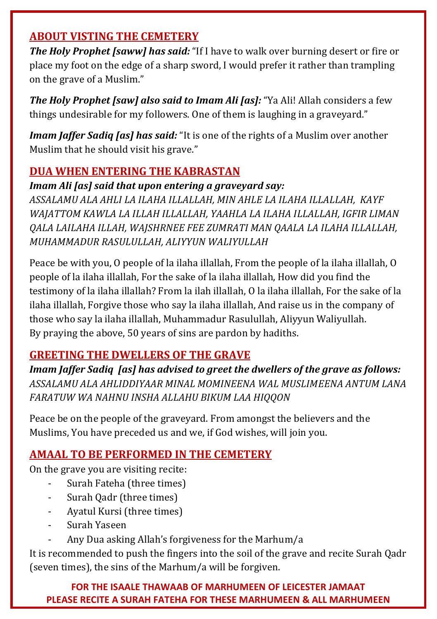#### **ABOUT VISTING THE CEMETERY**

*The Holy Prophet [saww] has said:* "If I have to walk over burning desert or fire or place my foot on the edge of a sharp sword, I would prefer it rather than trampling on the grave of a Muslim."

*The Holy Prophet [saw] also said to Imam Ali [as]:* "Ya Ali! Allah considers a few things undesirable for my followers. One of them is laughing in a graveyard."

*Imam Jaffer Sadiq [as] has said:* "It is one of the rights of a Muslim over another Muslim that he should visit his grave."

#### **DUA WHEN ENTERING THE KABRASTAN**

*Imam Ali [as] said that upon entering a graveyard say:* 

*ASSALAMU ALA AHLI LA ILAHA ILLALLAH, MIN AHLE LA ILAHA ILLALLAH, KAYF WAJATTOM KAWLA LA ILLAH ILLALLAH, YAAHLA LA ILAHA ILLALLAH, IGFIR LIMAN QALA LAILAHA ILLAH, WAJSHRNEE FEE ZUMRATI MAN QAALA LA ILAHA ILLALLAH, MUHAMMADUR RASULULLAH, ALIYYUN WALIYULLAH* 

Peace be with you, O people of la ilaha illallah, From the people of la ilaha illallah, O people of la ilaha illallah, For the sake of la ilaha illallah, How did you find the testimony of la ilaha illallah? From la ilah illallah, O la ilaha illallah, For the sake of la ilaha illallah, Forgive those who say la ilaha illallah, And raise us in the company of those who say la ilaha illallah, Muhammadur Rasulullah, Aliyyun Waliyullah. By praying the above, 50 years of sins are pardon by hadiths.

#### **GREETING THE DWELLERS OF THE GRAVE**

*Imam Jaffer Sadiq [as] has advised to greet the dwellers of the grave as follows: ASSALAMU ALA AHLIDDIYAAR MINAL MOMINEENA WAL MUSLIMEENA ANTUM LANA FARATUW WA NAHNU INSHA ALLAHU BIKUM LAA HIQQON* 

Peace be on the people of the graveyard. From amongst the believers and the Muslims, You have preceded us and we, if God wishes, will join you.

#### **AMAAL TO BE PERFORMED IN THE CEMETERY**

On the grave you are visiting recite:

- Surah Fateha (three times)
- Surah Qadr (three times)
- Ayatul Kursi (three times)
- Surah Yaseen
- Any Dua asking Allah's forgiveness for the Marhum/a

It is recommended to push the fingers into the soil of the grave and recite Surah Qadr (seven times), the sins of the Marhum/a will be forgiven.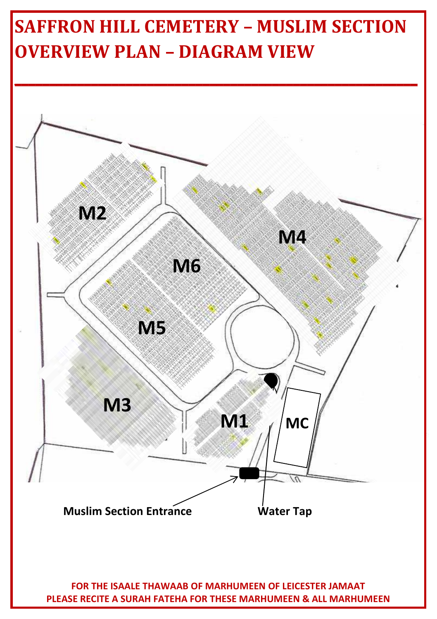## **SAFFRON HILL CEMETERY – MUSLIM SECTION OVERVIEW PLAN – DIAGRAM VIEW**

**\_\_\_\_\_\_\_\_\_\_\_\_\_\_\_\_\_\_\_\_\_\_\_\_\_\_\_\_\_\_\_\_\_\_\_\_\_\_\_\_\_\_\_\_\_\_\_\_\_\_\_\_\_\_\_\_\_\_**



**PLEASE RECITE A SURAH FATEHA FOR THESE MARHUMEEN & ALL MARHUMEEN**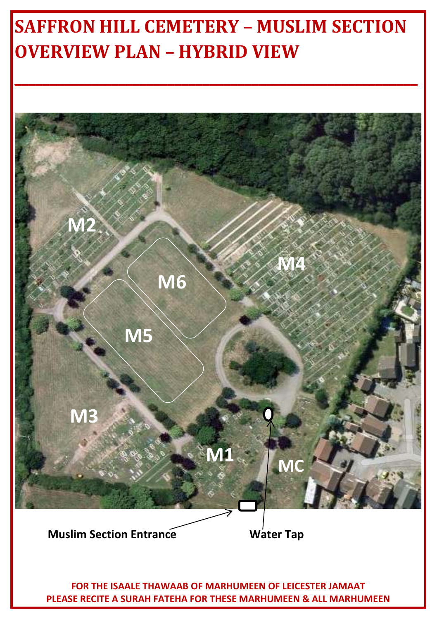## **SAFFRON HILL CEMETERY – MUSLIM SECTION OVERVIEW PLAN – HYBRID VIEW**

**\_\_\_\_\_\_\_\_\_\_\_\_\_\_\_\_\_\_\_\_\_\_\_\_\_\_\_\_\_\_\_\_\_\_\_\_\_\_\_\_\_\_\_\_\_\_\_\_\_\_\_\_\_\_\_\_\_\_**

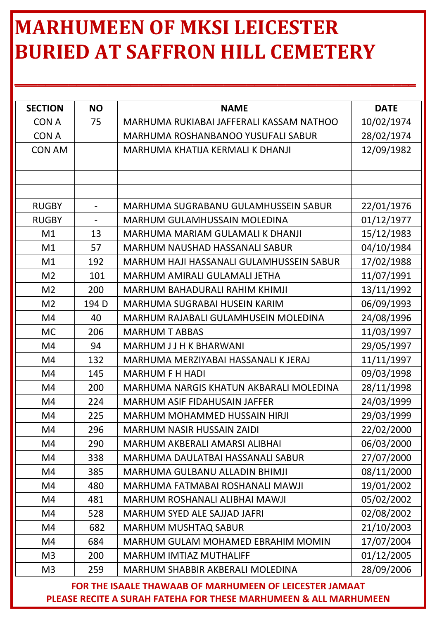## **MARHUMEEN OF MKSI LEICESTER BURIED AT SAFFRON HILL CEMETERY**

**\_\_\_\_\_\_\_\_\_\_\_\_\_\_\_\_\_\_\_\_\_\_\_\_\_\_\_\_\_\_\_\_\_\_\_\_\_\_\_\_\_\_\_\_\_\_\_\_\_\_\_\_**

| <b>SECTION</b> | ΝO                       | <b>NAME</b>                              | <b>DATE</b> |
|----------------|--------------------------|------------------------------------------|-------------|
| CON A          | 75                       | MARHUMA RUKIABAI JAFFERALI KASSAM NATHOO | 10/02/1974  |
| CON A          |                          | MARHUMA ROSHANBANOO YUSUFALI SABUR       | 28/02/1974  |
| CON AM         |                          | MARHUMA KHATIJA KERMALI K DHANJI         | 12/09/1982  |
|                |                          |                                          |             |
|                |                          |                                          |             |
|                |                          |                                          |             |
| <b>RUGBY</b>   | $\overline{\phantom{a}}$ | MARHUMA SUGRABANU GULAMHUSSEIN SABUR     | 22/01/1976  |
| <b>RUGBY</b>   | $\overline{\phantom{a}}$ | MARHUM GULAMHUSSAIN MOLEDINA             | 01/12/1977  |
| Μ1             | 13                       | MARHUMA MARIAM GULAMALI K DHANJI         | 15/12/1983  |
| M1             | 57                       | MARHUM NAUSHAD HASSANALI SABUR           | 04/10/1984  |
| M1             | 192                      | MARHUM HAJI HASSANALI GULAMHUSSEIN SABUR | 17/02/1988  |
| M <sub>2</sub> | 101                      | MARHUM AMIRALI GULAMALI JETHA            | 11/07/1991  |
| M <sub>2</sub> | 200                      | MARHUM BAHADURALI RAHIM KHIMJI           | 13/11/1992  |
| M <sub>2</sub> | 194 D                    | MARHUMA SUGRABAI HUSEIN KARIM            | 06/09/1993  |
| M4             | 40                       | MARHUM RAJABALI GULAMHUSEIN MOLEDINA     | 24/08/1996  |
| MC             | 206                      | <b>MARHUM T ABBAS</b>                    | 11/03/1997  |
| M4             | 94                       | MARHUM J J H K BHARWANI                  | 29/05/1997  |
| M4             | 132                      | MARHUMA MERZIYABAI HASSANALI K JERAJ     | 11/11/1997  |
| M4             | 145                      | MARHUM F H HADI                          | 09/03/1998  |
| M4             | 200                      | MARHUMA NARGIS KHATUN AKBARALI MOLEDINA  | 28/11/1998  |
| M4             | 224                      | MARHUM ASIF FIDAHUSAIN JAFFER            | 24/03/1999  |
| M4             | 225                      | MARHUM MOHAMMED HUSSAIN HIRJI            | 29/03/1999  |
| M4             | 296                      | <b>MARHUM NASIR HUSSAIN ZAIDI</b>        | 22/02/2000  |
| M4             | 290                      | MARHUM AKBERALI AMARSI ALIBHAI           | 06/03/2000  |
| M4             | 338                      | MARHUMA DAULATBAI HASSANALI SABUR        | 27/07/2000  |
| M4             | 385                      | MARHUMA GULBANU ALLADIN BHIMJI           | 08/11/2000  |
| M4             | 480                      | MARHUMA FATMABAI ROSHANALI MAWJI         | 19/01/2002  |
| M4             | 481                      | MARHUM ROSHANALI ALIBHAI MAWJI           | 05/02/2002  |
| M4             | 528                      | MARHUM SYED ALE SAJJAD JAFRI             | 02/08/2002  |
| M4             | 682                      | MARHUM MUSHTAQ SABUR                     | 21/10/2003  |
| M4             | 684                      | MARHUM GULAM MOHAMED EBRAHIM MOMIN       | 17/07/2004  |
| M3             | 200                      | MARHUM IMTIAZ MUTHALIFF                  | 01/12/2005  |
| M <sub>3</sub> | 259                      | MARHUM SHABBIR AKBERALI MOLEDINA         | 28/09/2006  |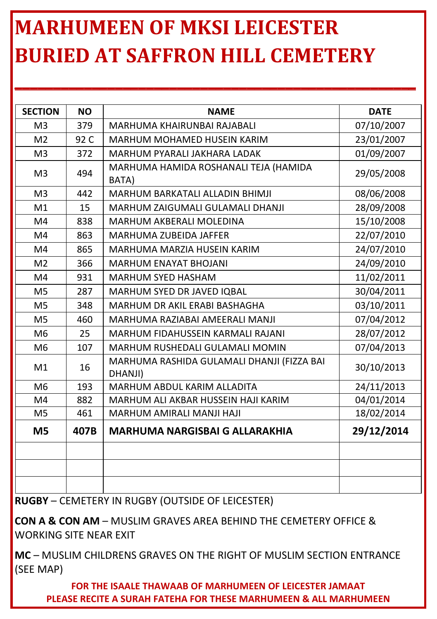## **MARHUMEEN OF MKSI LEICESTER BURIED AT SAFFRON HILL CEMETERY**

**\_\_\_\_\_\_\_\_\_\_\_\_\_\_\_\_\_\_\_\_\_\_\_\_\_\_\_\_\_\_\_\_\_\_\_\_\_\_\_\_\_\_\_\_\_\_\_\_\_\_\_\_**

| <b>NO</b> | <b>NAME</b>                                           | <b>DATE</b> |
|-----------|-------------------------------------------------------|-------------|
| 379       | MARHUMA KHAIRUNBAI RAJABALI                           | 07/10/2007  |
| 92 C      | MARHUM MOHAMED HUSEIN KARIM                           | 23/01/2007  |
| 372       | MARHUM PYARALI JAKHARA LADAK                          | 01/09/2007  |
| 494       | MARHUMA HAMIDA ROSHANALI TEJA (HAMIDA<br>BATA)        | 29/05/2008  |
| 442       | MARHUM BARKATALI ALLADIN BHIMJI                       | 08/06/2008  |
| 15        | MARHUM ZAIGUMALI GULAMALI DHANJI                      | 28/09/2008  |
| 838       | MARHUM AKBERALI MOLEDINA                              | 15/10/2008  |
| 863       | MARHUMA ZUBEIDA JAFFER                                | 22/07/2010  |
| 865       | MARHUMA MARZIA HUSEIN KARIM                           | 24/07/2010  |
| 366       | <b>MARHUM ENAYAT BHOJANI</b>                          | 24/09/2010  |
| 931       | <b>MARHUM SYED HASHAM</b>                             | 11/02/2011  |
| 287       | MARHUM SYED DR JAVED IQBAL                            | 30/04/2011  |
| 348       | MARHUM DR AKIL ERABI BASHAGHA                         | 03/10/2011  |
| 460       | MARHUMA RAZIABAI AMEERALI MANJI                       | 07/04/2012  |
| 25        | MARHUM FIDAHUSSEIN KARMALI RAJANI                     | 28/07/2012  |
| 107       | MARHUM RUSHEDALI GULAMALI MOMIN                       | 07/04/2013  |
| 16        | MARHUMA RASHIDA GULAMALI DHANJI (FIZZA BAI<br>DHANJI) | 30/10/2013  |
| 193       | MARHUM ABDUL KARIM ALLADITA                           | 24/11/2013  |
| 882       | MARHUM ALI AKBAR HUSSEIN HAJI KARIM                   | 04/01/2014  |
| 461       | MARHUM AMIRALI MANJI HAJI                             | 18/02/2014  |
| 407B      | <b>MARHUMA NARGISBAI G ALLARAKHIA</b>                 | 29/12/2014  |
|           |                                                       |             |
|           |                                                       |             |
|           |                                                       |             |

**RUGBY** – CEMETERY IN RUGBY (OUTSIDE OF LEICESTER)

**CON A & CON AM** – MUSLIM GRAVES AREA BEHIND THE CEMETERY OFFICE & WORKING SITE NEAR EXIT

**MC** – MUSLIM CHILDRENS GRAVES ON THE RIGHT OF MUSLIM SECTION ENTRANCE (SEE MAP)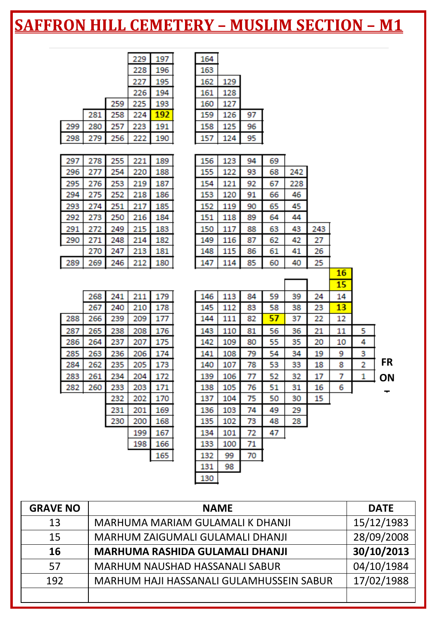|     |            |     | 229        |            | 164        |            |          |          |     |          |          |   |    |
|-----|------------|-----|------------|------------|------------|------------|----------|----------|-----|----------|----------|---|----|
|     |            |     |            | 197<br>196 | 163        |            |          |          |     |          |          |   |    |
|     |            |     | 228        |            |            |            |          |          |     |          |          |   |    |
|     |            |     | 227        | 195        | 162        | 129        |          |          |     |          |          |   |    |
|     |            | 259 | 226<br>225 | 194<br>193 | 161<br>160 | 128<br>127 |          |          |     |          |          |   |    |
|     | 281        | 258 | 224        | 192        | 159        | 126        | 97       |          |     |          |          |   |    |
| 299 | 280        | 257 | 223        | 191        | 158        | 125        | 96       |          |     |          |          |   |    |
| 298 | 279        | 256 | 222        | 190        | 157        | 124        | 95       |          |     |          |          |   |    |
|     |            |     |            |            |            |            |          |          |     |          |          |   |    |
| 297 | 278        | 255 | 221        |            | 156        | 123        |          |          |     |          |          |   |    |
| 296 | 277        | 254 | 220        | 189<br>188 | 155        | 122        | 94<br>93 | 69<br>68 | 242 |          |          |   |    |
| 295 | 276        | 253 | 219        | 187        | 154        | 121        | 92       | 67       | 228 |          |          |   |    |
| 294 | 275        | 252 | 218        | 186        | 153        | 120        | 91       | 66       | 46  |          |          |   |    |
| 293 | 274        | 251 | 217        | 185        | 152        | 119        | 90       | 65       | 45  |          |          |   |    |
| 292 | 273        | 250 | 216        | 184        | 151        | 118        | 89       | 64       | 44  |          |          |   |    |
| 291 | 272        | 249 | 215        | 183        | 150        | 117        | 88       | 63       | 43  | 243      |          |   |    |
| 290 | 271        | 248 | 214        | 182        | 149        | 116        | 87       | 62       | 42  | 27       |          |   |    |
|     | 270        | 247 | 213        | 181        | 148        | 115        | 86       | 61       | 41  | 26       |          |   |    |
| 289 | 269        | 246 | 212        | 180        | 147        | 114        | 85       | 60       | 40  | 25       |          |   |    |
|     |            |     |            |            |            |            |          |          |     |          |          |   |    |
|     |            |     |            |            |            |            |          |          |     |          |          |   |    |
|     |            |     |            |            |            |            |          |          |     |          | 16       |   |    |
|     | 268        | 241 | 211        |            |            | 113        | 84       | 59       | 39  |          | 15<br>14 |   |    |
|     | 267        | 240 | 210        | 179<br>178 | 146<br>145 | 112        | 83       | 58       | 38  | 24<br>23 | 13       |   |    |
| 288 | 266        | 239 | 209        | 177        | 144        | 111        | 82       | 57       | 37  | 22       | 12       |   |    |
| 287 |            | 238 | 208        |            |            | 110        | 81       |          | 36  | 21       | 11       | 5 |    |
| 286 | 265<br>264 | 237 | 207        | 176<br>175 | 143<br>142 | 109        | 80       | 56<br>55 | 35  | 20       | 10       | 4 |    |
| 285 | 263        | 236 | 206        | 174        | 141        | 108        | 79       | 54       | 34  | 19       | 9        | з |    |
| 284 | 262        | 235 | 205        | 173        | 140        | 107        | 78       | 53       | 33  | 18       | 8        | 2 | FR |
| 283 | 261        | 234 | 204        | 172        | 139        | 106        | 77       | 52       | 32  | 17       | 7        | 1 |    |
| 282 | 260        | 233 | 203        | 171        | 138        | 105        | 76       | 51       | 31  | 16       | 6        |   | ON |
|     |            | 232 | 202        | 170        | 137        | 104        | 75       | 50       | 30  | 15       |          |   |    |
|     |            | 231 | 201        | 169        | 136        | 103        | 74       | 49       | 29  |          |          |   |    |
|     |            | 230 | 200        | 168        | 135        | 102        | 73       | 48       | 28  |          |          |   |    |
|     |            |     | 199        | 167        | 134        | 101        | 72       | 47       |     |          |          |   |    |
|     |            |     | 198        | 166        | 133        | 100        | 71       |          |     |          |          |   |    |
|     |            |     |            | 165        | 132        | 99         | 70       |          |     |          |          |   |    |
|     |            |     |            |            | 131        | 98         |          |          |     |          |          |   |    |

| <b>GRAVE NO</b> | <b>NAME</b>                              | <b>DATE</b> |
|-----------------|------------------------------------------|-------------|
| 13              | MARHUMA MARIAM GULAMALI K DHANJI         | 15/12/1983  |
| 15              | MARHUM ZAIGUMALI GULAMALI DHANJI         | 28/09/2008  |
| 16              | MARHUMA RASHIDA GULAMALI DHANJI          | 30/10/2013  |
| 57              | MARHUM NAUSHAD HASSANALI SABUR           | 04/10/1984  |
| 192             | MARHUM HAJI HASSANALI GULAMHUSSEIN SABUR | 17/02/1988  |
|                 |                                          |             |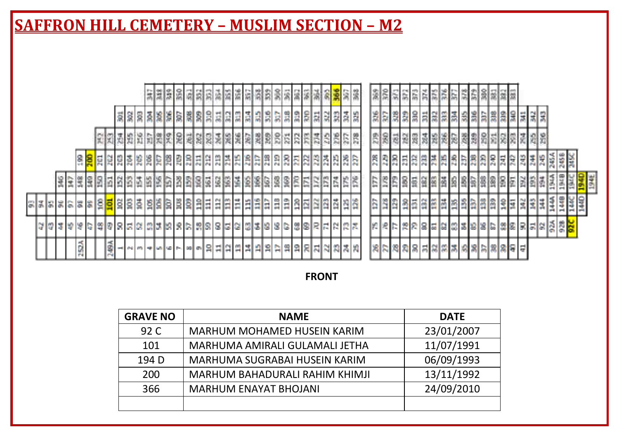|                   |                               |                              | 3222333444                  | 쯻<br>정종정 정보 정<br>◎ 裏 演 深                                                                         | 鬧<br><b>SEREESER</b>                                |
|-------------------|-------------------------------|------------------------------|-----------------------------|--------------------------------------------------------------------------------------------------|-----------------------------------------------------|
|                   | S.<br>翯                       | 콣<br>lå<br>氝<br>l8           | 읇<br>引別<br>불빛일              | 읅<br>딇<br>ងងង<br>鬧<br>븳<br>認高<br><b>SIS</b><br>E<br>읞                                            | 쁿<br>$\frac{5}{20}$<br>開幕舞<br>景景景<br>高島             |
|                   | 외화제<br>览                      | ň<br>g<br>镖<br><b>R</b><br>罰 | 日支関策<br>과의                  | 28<br>3868<br><b>SREE</b><br>퀣<br>12                                                             | 휇<br>g<br>18 28 28<br>國國<br>図<br>R<br>谖             |
| $\frac{8}{14}$    | 200<br>E<br>e e               |                              |                             | !총)왕 왕 홍 왕 왕 윤 원 원 원 원 원 원 원 <br><b>BERBBBBB</b>                                                 | <b>BREEBBAABB</b>                                   |
| 불물<br>慢           | E<br>图<br>翦<br>插<br>國國        | 13<br>155<br>ħ<br>3          | 80<br>162<br>191<br>図<br>摺  | 88<br>Î.<br>\$6<br>g<br><b>I</b> <sub>R</sub><br>175<br>š<br><b>G</b><br>Ë<br>隣<br>E<br>165<br>E | E<br>SB<br>圖<br>18<br>B<br>崗<br>后<br><b>B</b><br>18 |
| 33.38.5<br>冒      | ig<br>ios<br>š<br>ß<br>흡<br>s | ğ.<br>È                      | 胃炎目<br>$\frac{1}{2}$<br>aw. | $\frac{2}{118}$<br>日目目<br>380<br>E<br>國國際<br>ß<br>慣目                                             | È<br>岡<br>國國<br>图画单<br>ő<br>E                       |
| 19<br>더 없 봐<br>竖  | 998<br>12<br>G<br>E           | 의회                           | 의외터 의의<br>8                 | 图<br>IRICIRIRIE<br>232<br>5.38<br>IE O                                                           | 바람 지역 제의 제<br>223                                   |
| ×<br>o<br>и<br>P4 | ã<br>es m =<br>-              | <b>MAIL MOTORS</b>           | g<br>$ a $ $ a $            | 피아이자이하다<br>유유지지<br>問題書題                                                                          | 원동  왕  황  홍  콩  홍  홍  홍  홍  홍  홍  홍  홍  홍           |

#### **FRONT**

즭 8

岛 289 罰 嚣  $\frac{3}{2}$ 웗 å

 $\frac{28}{28}$ 

188 8

ŝ ŝ ş E 윷

*,* 이 방법 정보

녆

18 ā

정성성성 소리

942 **Park** 344 245

> **BZ** \$61 194

**skeses** 

춫 I

없 3

> E 2458

 $\frac{4}{3}$ **TAKE** 

**PXB** 

144

194E

E

N g

ă

| <b>GRAVE NO</b> | <b>NAME</b>                    | <b>DATE</b> |
|-----------------|--------------------------------|-------------|
| 92 C            | MARHUM MOHAMED HUSEIN KARIM    | 23/01/2007  |
| 101             | MARHUMA AMIRALI GULAMALI JETHA | 11/07/1991  |
| 194 D           | MARHUMA SUGRABAI HUSEIN KARIM  | 06/09/1993  |
| 200             | MARHUM BAHADURALI RAHIM KHIMJI | 13/11/1992  |
| 366             | <b>MARHUM ENAYAT BHOJANI</b>   | 24/09/2010  |
|                 |                                |             |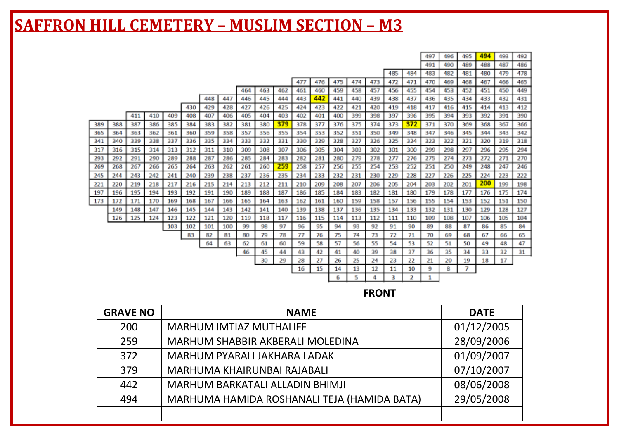|     |     |     |     |     |     |     |     |     |     |     |          |          |          |          |          |          |          | 497     | 496     | 495     | 494 | 493 | 492 |
|-----|-----|-----|-----|-----|-----|-----|-----|-----|-----|-----|----------|----------|----------|----------|----------|----------|----------|---------|---------|---------|-----|-----|-----|
|     |     |     |     |     |     |     |     |     |     |     |          |          |          |          |          |          |          | 491     | 490     | 489     | 488 | 487 | 486 |
|     |     |     |     |     |     |     |     |     |     |     |          |          |          |          |          | 485      | 484      | 483     | 482     | 481     | 480 | 479 | 478 |
|     |     |     |     |     |     |     |     |     |     |     | 477      | 476      | 475      | 474      | 473      | 472      | 471      | 470     | 469     | 468     | 467 | 466 | 465 |
|     |     |     |     |     |     |     |     | 464 | 463 | 462 | 461      | 460      | 459      | 458      | 457      | 456      | 455      | 454     | 453     | 452     | 451 | 450 | 449 |
|     |     |     |     |     |     | 448 | 447 | 446 | 445 | 444 | 443      | 442      | 441      | 440      | 439      | 438      | 437      | 436     | 435     | 434     | 433 | 432 | 431 |
|     |     |     |     |     | 430 | 429 | 428 | 427 | 426 | 425 | 424      | 423      | 422      | 421      | 420      | 419      | 418      | 417     | 416     | 415     | 414 | 413 | 412 |
|     |     | 411 | 410 | 409 | 408 | 407 | 406 | 405 | 404 | 403 | 402      | 401      | 400      | 399      | 398      | 397      | 396      | 395     | 394     | 393     | 392 | 391 | 390 |
| 389 | 388 | 387 | 386 | 385 | 384 | 383 | 382 | 381 | 380 | 379 | 378      | 377      | 376      | 375      | 374      | 373      | 372      | 371     | 370     | 369     | 368 | 367 | 366 |
| 365 | 364 | 363 | 362 | 361 | 360 | 359 | 358 | 357 | 356 | 355 | 354      | 353      | 352      | 351      | 350      | 349      | 348      | 347     | 346     | 345     | 344 | 343 | 342 |
| 341 | 340 | 339 | 338 | 337 | 336 | 335 | 334 | 333 | 332 | 331 | 330      | 329      | 328      | 327      | 326      | 325      | 324      | 323     | 322     | 321     | 320 | 319 | 318 |
| 317 | 316 | 315 | 314 | 313 | 312 | 311 | 310 | 309 | 308 | 307 | 306      | 305      | 304      | 303      | 302      | 301      | 300      | 299     | 298     | 297     | 296 | 295 | 294 |
| 293 | 292 | 291 | 290 | 289 | 288 | 287 | 286 | 285 | 284 | 283 | 282      | 281      | 280      | 279      | 278      | 277      | 276      | 275     | 274     | 273     | 272 | 271 | 270 |
| 269 | 268 | 267 | 266 | 265 | 264 | 263 | 262 | 261 | 260 | 259 | 258      | 257      | 256      | 255      | 254      | 253      | 252      | 251     | 250     | 249     | 248 | 247 | 246 |
| 245 | 244 | 243 | 242 | 241 | 240 | 239 | 238 | 237 | 236 | 235 | 234      | 233      | 232      | 231      | 230      | 229      | 228      | 227     | 226     | 225     | 224 | 223 | 222 |
| 221 | 220 | 219 | 218 | 217 | 216 | 215 | 214 | 213 | 212 | 211 | 210      | 209      | 208      | 207      | 206      | 205      | 204      | 203     | 202     | 201     | 200 | 199 | 198 |
| 197 | 196 | 195 | 194 | 193 | 192 | 191 | 190 | 189 | 188 | 187 | 186      | 185      | 184      | 183      | 182      | 181      | 180      | 179     | 178     | 177     | 176 | 175 | 174 |
| 173 | 172 | 171 | 170 | 169 | 168 | 167 | 166 | 165 | 164 | 163 | 162      | 161      | 160      | 159      | 158      | 157      | 156      | 155     | 154     | 153     | 152 | 151 | 150 |
|     | 149 | 148 | 147 | 146 | 145 | 144 | 143 | 142 | 141 | 140 | 139      | 138      | 137      | 136      | 135      | 134      | 133      | 132     | 131     | 130     | 129 | 128 | 127 |
|     | 126 | 125 | 124 | 123 | 122 | 121 | 120 | 119 | 118 | 117 | 116      | 115      | 114      | 113      | 112      | 111      | 110      | 109     | 108     | 107     | 106 | 105 | 104 |
|     |     |     |     | 103 | 102 | 101 | 100 | 99  | 98  | 97  | 96       | 95       | 94       | 93       | 92       | 91       | 90       | 89      | 88      | 87      | 86  | 85  | 84  |
|     |     |     |     |     | 83  | 82  | 81  | 80  | 79  | 78  | 77       | 76       | 75       | 74       | 73       | 72       | 71       | 70      | 69      | 68      | 67  | 66  | 65  |
|     |     |     |     |     |     | 64  | 63  | 62  | 61  | 60  | 59       | 58       | 57       | 56       | 55       | 54       | 53       | 52      | 51      | 50      | 49  | 48  | 47  |
|     |     |     |     |     |     |     |     | 46  | 45  | 44  | 43       | 42       | 41       | 40       | 39       | 38       | 37       | 36      | 35      | 34      | 33  | 32  | 31  |
|     |     |     |     |     |     |     |     |     | 30  | 29  | 28<br>16 | 27<br>15 | 26<br>14 | 25<br>13 | 24<br>12 | 23<br>11 | 22<br>10 | 21<br>9 | 20<br>8 | 19<br>7 | 18  | 17  |     |
|     |     |     |     |     |     |     |     |     |     |     |          |          | 6        | s.       | 4        | 3.       | 2        | 1       |         |         |     |     |     |
|     |     |     |     |     |     |     |     |     |     |     |          |          |          |          |          |          |          |         |         |         |     |     |     |

**FRONT**

| <b>GRAVE NO</b> | <b>NAME</b>                                 | <b>DATE</b> |
|-----------------|---------------------------------------------|-------------|
| 200             | MARHUM IMTIAZ MUTHALIFF                     | 01/12/2005  |
| 259             | MARHUM SHABBIR AKBERALI MOLEDINA            | 28/09/2006  |
| 372             | MARHUM PYARALI JAKHARA LADAK                | 01/09/2007  |
| 379             | MARHUMA KHAIRUNBAI RAJABALI                 | 07/10/2007  |
| 442             | MARHUM BARKATALI ALLADIN BHIMJI             | 08/06/2008  |
| 494             | MARHUMA HAMIDA ROSHANALI TEJA (HAMIDA BATA) | 29/05/2008  |
|                 |                                             |             |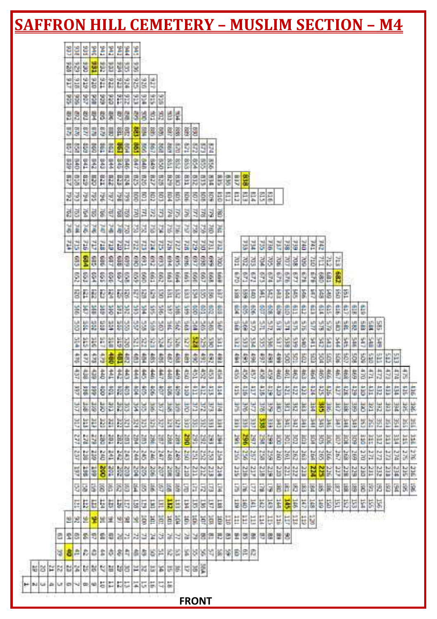| <u> SAFFRON HILL CEMETERY – MUSLIM SECTION – M4</u> |              |                    |     |         |     |     |                      |                  |                                                         |            |     |                                    |              |                               |     |                 |                |     |     |            |            |                     |            |      |     |                   |            |                  |                                               |                  |          |            |      |    |     |                   |         |         |
|-----------------------------------------------------|--------------|--------------------|-----|---------|-----|-----|----------------------|------------------|---------------------------------------------------------|------------|-----|------------------------------------|--------------|-------------------------------|-----|-----------------|----------------|-----|-----|------------|------------|---------------------|------------|------|-----|-------------------|------------|------------------|-----------------------------------------------|------------------|----------|------------|------|----|-----|-------------------|---------|---------|
|                                                     |              |                    |     |         |     |     |                      |                  |                                                         |            |     |                                    |              |                               |     |                 |                |     |     |            |            |                     |            |      |     |                   |            |                  |                                               |                  |          |            |      |    |     |                   |         |         |
|                                                     |              |                    |     |         |     |     |                      |                  |                                                         |            |     |                                    |              |                               |     |                 |                |     |     |            |            |                     |            |      |     |                   |            |                  |                                               |                  |          |            |      |    |     |                   |         |         |
|                                                     | ers.         | te e person        |     |         |     |     |                      | as.              | E.                                                      |            |     |                                    |              |                               |     |                 |                |     |     |            |            |                     |            |      |     |                   |            |                  |                                               |                  |          |            |      |    |     |                   |         |         |
|                                                     | \$16         | 28                 |     | sere    |     |     |                      | E                | 516<br>934                                              | 916        |     |                                    |              |                               |     |                 |                |     |     |            |            |                     |            |      |     |                   |            |                  |                                               |                  |          |            |      |    |     |                   |         |         |
|                                                     | <b>SSSSS</b> |                    |     |         |     | 의열  |                      | 33               | lê,                                                     | 200        | 恩望  |                                    |              |                               |     |                 |                |     |     |            |            |                     |            |      |     |                   |            |                  |                                               |                  |          |            |      |    |     |                   |         |         |
|                                                     | 5335         |                    |     | s s     |     |     | 開                    | ä                | 擦<br>ġ                                                  | g.         |     | 照像                                 |              | <b>SER</b>                    |     |                 |                |     |     |            |            |                     |            |      |     |                   |            |                  |                                               |                  |          |            |      |    |     |                   |         |         |
|                                                     | 회협           | E S                |     | ëē      |     | 醇   |                      | ã                | š<br>86                                                 | ă          | ë   | i.                                 | g            |                               | 992 |                 |                |     |     |            |            |                     |            |      |     |                   |            |                  |                                               |                  |          |            |      |    |     |                   |         |         |
|                                                     | <b>葛종</b>    | $\frac{\omega}{2}$ |     | š       | 学生  |     |                      | 38               | 848                                                     | SS6        | 158 | E                                  | 88           | Ş.                            | 33  |                 |                |     |     |            |            |                     |            |      |     |                   |            |                  |                                               |                  |          |            |      |    |     |                   |         |         |
| E                                                   |              | EE                 |     | nn.     |     |     | 1947 825             |                  | E<br>G20                                                |            |     | 550                                | 831.         | 219                           | EIB | 3HB             | 518            | 935 | 288 |            |            |                     |            |      |     |                   |            |                  |                                               |                  |          |            |      |    |     |                   |         |         |
|                                                     | 图图图解         |                    |     | F       | ZRZ | 端   |                      | $\frac{8}{9}$    | <b>B</b><br>Ē                                           | ē          |     | 图                                  | 景            | 릨흛                            |     | Ş               | E10            | E   |     |            |            | elegee              |            |      |     |                   |            |                  |                                               |                  |          |            |      |    |     |                   |         |         |
|                                                     | 회회회회         |                    |     |         |     |     |                      |                  | 회학회의 기대                                                 |            |     | 3333                               |              |                               |     | 경영화술            |                |     |     |            |            |                     |            |      |     |                   |            |                  |                                               |                  |          |            |      |    |     |                   |         |         |
|                                                     | 岩            | ö                  | 3W. | ă       | ă   | ăğ. |                      | 窗                | E                                                       |            | 刘义  | 慮                                  | ğ            | 谥                             | SZ. | ğ               | ĕ              |     |     |            |            |                     |            |      |     |                   |            |                  |                                               |                  |          |            |      |    |     |                   |         |         |
|                                                     | 렱            | 없군                 |     |         |     |     | 해택                   |                  | E<br>E                                                  | 31         | ¥.  | un                                 | ŭ            |                               |     |                 | EL             |     |     |            |            | 회회원회                |            | 医图象  |     | E                 | <b>E</b>   | ZHE <sub>1</sub> |                                               |                  |          |            |      |    |     |                   |         |         |
|                                                     | 8            | 584                | 88  | 719 605 |     | 889 |                      | 069              | tiin.<br>L60                                            | e          | ļ.  | 569                                | <b>BBB</b>   | 199 624<br>989 644<br>989 154 |     |                 | ğ              |     |     |            |            | 부열력회의               |            | 90L  | 經   | š                 | <b>FIG</b> |                  | 岸                                             | štč              |          |            |      |    |     |                   |         |         |
|                                                     | ES2          | a sa sa            |     |         |     |     |                      | 28               | É<br>Sep                                                | 38         |     | 田駅                                 | 593          |                               |     | $S_{S}$ $S_{E}$ |                |     | S2  | 33         |            | $rac{6.03}{1.03}$   |            | 523  | 575 | 149               | 94<br>S)   | ŝ                | Ë                                             | B                |          |            |      |    |     |                   |         |         |
|                                                     |              |                    |     |         |     |     |                      | <b>BRBCZ6856</b> | E                                                       | G          |     | 露                                  | E            | 회하                            |     |                 | 题              |     | E   | <b>SEI</b> | Ë          | 国                   |            | 薏    | Ţ.  | F<br>F            | 25         | f.               | E                                             |                  | 图        |            |      |    |     |                   |         |         |
|                                                     |              | 前线管                |     | EE.     |     |     |                      | 新闻演奏             | 協                                                       |            |     | 图线图                                | 985          | 황화                            |     |                 | Ê              |     | 農家  |            | \$19       | B                   | \$         | ę    | eue | Ë<br>e            | Ë          |                  | 郎                                             |                  | 調理       |            | t,   |    |     |                   |         |         |
|                                                     | š.           | ř                  | R)  |         |     |     |                      |                  | š<br>ig.                                                |            |     | 图形物                                | g            | ¥                             |     | 88              | ier.           |     | 88  |            |            | 骂                   |            | E.   | ä   | 섨<br>쓻            | 45         | 설                | š                                             | ģ                | 图<br>图   |            | Ė    | i. |     |                   |         |         |
|                                                     |              | 岩岩                 |     | 139 885 |     |     | 2008<br>2008<br>2008 | 四                | 報                                                       | P.C.       |     | 装置                                 | E            |                               | 臨   | g               | EE <sub></sub> |     | E   | EEG        | 234        | 劇                   | <b>DEE</b> | LES  | 338 | <b>SAR</b><br>555 | tik        | EK)              | Ě                                             | ¥                | <b>K</b> | E          | š    | ¥  | 똪   |                   |         |         |
|                                                     | 214 476      | $rac{2}{3}$        |     | ă       | ŧ   |     | 黄岛岛                  |                  | ŷ<br>is:                                                |            |     | 高商店                                | E.           |                               | 劇劇  | 圍               | till           |     | 劉   |            | 節          | d6#                 | 58         | ġ    |     | sisje             | ë          |                  | 富能                                            | \$Q              | 图算       |            | Ş    |    | Ë   |                   |         |         |
|                                                     | 齿            | 安息店                |     |         |     |     | 古おおま                 |                  | \$<br>套                                                 |            | 劃畫  | $\left(\frac{\hbar}{\beta}\right)$ | ţ            |                               |     | â               | Ť              |     | ġ,  | ġ          | 發          |                     | 62         | ĝ    | 喜离  | ē                 | ğ          | â,               | 营                                             | 鸢                | 蓖        | ļ\$        | D.F  | Þ  | 111 |                   | 红点<br>â |         |
|                                                     | 466          | E S                |     | 8388    |     |     |                      | ř                | 88<br>\$                                                |            | 青蒜  | ger.                               | Ë            | TEN TON                       |     | £L\$            | š              |     | 512 | 901        | (身)        | $\frac{1}{2}$       | 627        | ģ    | EZ# | z<br>琵            | t          |                  | 龍                                             |                  | 白度       |            | Ë    | Ë  | 껿   | E<br>Ë            |         | ţ,<br>信 |
|                                                     | 马工           | 器                  |     |         |     |     |                      | 이러 비리 3          | 家                                                       |            | 해   | 6F                                 | ä            | 国                             |     | 钮               | ħ              |     | 景   | 閣          | 当屋         |                     | 빏          | 뵹    | 벽   | 톥                 | 閨          |                  | 濁影                                            |                  | 制制       |            | ğ    | E  | 冠   | 崔<br>岜            |         | 翼翼      |
|                                                     |              | 岸                  |     | 별력      |     |     | ES:                  | 经制               | 談<br>525                                                | <b>AZE</b> | 靛   | 329                                | 337          | 떫                             |     | 엺               | 鬘              |     | B   | 崑          | 眉          |                     | ă          | ă    | 踹   | E                 | ä          | 旨                | ă                                             |                  | 岩葉       | 筐          | B    | B  | 35  | tice<br>E         |         | Ħ<br>颚  |
|                                                     | 142          | 됋                  |     |         |     |     | 행복변화                 |                  | ă<br>ķ                                                  | dB2        | 屋   | 單                                  | <b>GEZ</b>   |                               |     | 필퇴된             | Ë              |     | ķ   |            |            | <mark>' 역</mark> 예약 |            | ă    | ă   | ă<br>ĕ            | ğ          |                  | 赏                                             | čBE <sub>1</sub> | E        | 償          | ğ    | Ħ  | ZEE | E<br>E            |         | E<br>ă  |
|                                                     | 257          | E E                |     |         |     |     |                      | 82882            | <b>Sep</b>                                              |            | 247 | 家                                  | E            | 예정                            |     | ä               | š              |     | SE. |            | <b>SER</b> |                     | 259        | ă    | 圖   | 363               | 164        |                  | $rac{3}{26}$                                  |                  | 马德国      |            | 1n   | n  | ZT. | 274               |         | ä<br>ut |
|                                                     |              | 篇篇                 |     |         |     |     |                      | 83 83 93         | SOF.                                                    |            |     | 気質                                 | ă            | 쁣                             |     | 213             | WEZ.           |     | 215 | 23.6       | 23,7       | arz.                | 띫          | tre. | 뻃   | <b>TEC</b>        | RZ         |                  | 얣                                             | έtε              | E        | <b>SZP</b> | bit) | nz | 끉   | <b>WEZ</b><br>tit |         | SEC     |
|                                                     |              |                    |     |         |     |     |                      |                  | [2] 오] 이 [2] 오] 오] 오] 오] 오] 오] 오] 오] 오] 오] 오]           |            |     |                                    |              |                               |     |                 |                |     |     |            |            |                     |            |      |     |                   |            |                  | 화 <u>물 이 물 이 없을 때 한 일 일 일 일 일 일 일 일 일 이 정</u> |                  |          |            |      |    |     |                   |         |         |
|                                                     |              |                    |     |         |     |     |                      |                  | 미터터 테베레리 리프 리프 <mark>리</mark> 프 리프 리프                   |            |     |                                    |              |                               |     |                 |                |     |     |            |            |                     |            |      |     |                   |            |                  |                                               |                  |          |            |      |    |     |                   |         |         |
|                                                     |              |                    |     |         |     |     |                      |                  | 피지표 <mark> 최</mark> 포트 피프 조 <mark>희 리브 프 프 프 프 프</mark> |            |     |                                    |              |                               |     |                 |                | 팀   |     |            |            |                     |            |      |     | <b>EEEEEEEEE</b>  |            |                  |                                               |                  |          |            |      |    |     |                   |         |         |
| 8 회의 회회 회원 기사 기사 기사 기                               |              |                    |     |         |     |     |                      |                  |                                                         |            |     |                                    |              |                               |     |                 |                |     |     |            |            | 공명동물 동물 회원 동물 동물    |            |      |     |                   |            |                  |                                               |                  |          |            |      |    |     |                   |         |         |
| 3 <mark>홍</mark> 희리이 미이 의미의 의미의 비리 지역의 기회의 의미의      |              |                    |     |         |     |     |                      |                  |                                                         |            |     |                                    |              |                               |     |                 |                |     |     |            |            |                     |            |      |     |                   |            |                  |                                               |                  |          |            |      |    |     |                   |         |         |
| 비리 비리 리 페이지 리 리 리 리 리 리 리 리 리 리 리                   |              |                    |     |         |     |     |                      |                  |                                                         |            |     |                                    |              |                               |     |                 |                |     |     |            |            |                     |            |      |     |                   |            |                  |                                               |                  |          |            |      |    |     |                   |         |         |
| H salar as<br>$\blacksquare$<br>u                   | $\sim$       |                    |     |         |     |     |                      |                  | $\frac{1}{2}$                                           |            |     |                                    |              |                               |     |                 |                |     |     |            |            |                     |            |      |     |                   |            |                  |                                               |                  |          |            |      |    |     |                   |         |         |
|                                                     |              |                    |     |         |     |     |                      |                  |                                                         |            |     |                                    | <b>FRONT</b> |                               |     |                 |                |     |     |            |            |                     |            |      |     |                   |            |                  |                                               |                  |          |            |      |    |     |                   |         |         |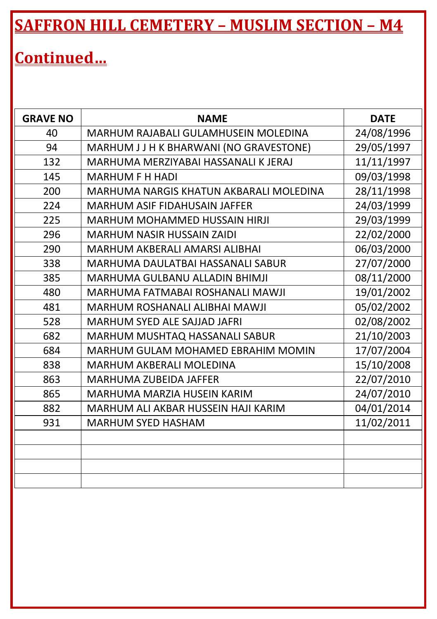## **Continued…**

| <b>GRAVE NO</b> | <b>NAME</b>                             | <b>DATE</b> |
|-----------------|-----------------------------------------|-------------|
| 40              | MARHUM RAJABALI GULAMHUSEIN MOLEDINA    | 24/08/1996  |
| 94              | MARHUM J J H K BHARWANI (NO GRAVESTONE) | 29/05/1997  |
| 132             | MARHUMA MERZIYABAI HASSANALI K JERAJ    | 11/11/1997  |
| 145             | <b>MARHUM F H HADI</b>                  | 09/03/1998  |
| 200             | MARHUMA NARGIS KHATUN AKBARALI MOLEDINA | 28/11/1998  |
| 224             | MARHUM ASIF FIDAHUSAIN JAFFER           | 24/03/1999  |
| 225             | MARHUM MOHAMMED HUSSAIN HIRJI           | 29/03/1999  |
| 296             | MARHUM NASIR HUSSAIN ZAIDI              | 22/02/2000  |
| 290             | MARHUM AKBERALI AMARSI ALIBHAI          | 06/03/2000  |
| 338             | MARHUMA DAULATBAI HASSANALI SABUR       | 27/07/2000  |
| 385             | MARHUMA GULBANU ALLADIN BHIMJI          | 08/11/2000  |
| 480             | MARHUMA FATMABAI ROSHANALI MAWJI        | 19/01/2002  |
| 481             | MARHUM ROSHANALI ALIBHAI MAWJI          | 05/02/2002  |
| 528             | MARHUM SYED ALE SAJJAD JAFRI            | 02/08/2002  |
| 682             | MARHUM MUSHTAQ HASSANALI SABUR          | 21/10/2003  |
| 684             | MARHUM GULAM MOHAMED EBRAHIM MOMIN      | 17/07/2004  |
| 838             | MARHUM AKBERALI MOLEDINA                | 15/10/2008  |
| 863             | MARHUMA ZUBEIDA JAFFER                  | 22/07/2010  |
| 865             | MARHUMA MARZIA HUSEIN KARIM             | 24/07/2010  |
| 882             | MARHUM ALI AKBAR HUSSEIN HAJI KARIM     | 04/01/2014  |
| 931             | <b>MARHUM SYED HASHAM</b>               | 11/02/2011  |
|                 |                                         |             |
|                 |                                         |             |
|                 |                                         |             |
|                 |                                         |             |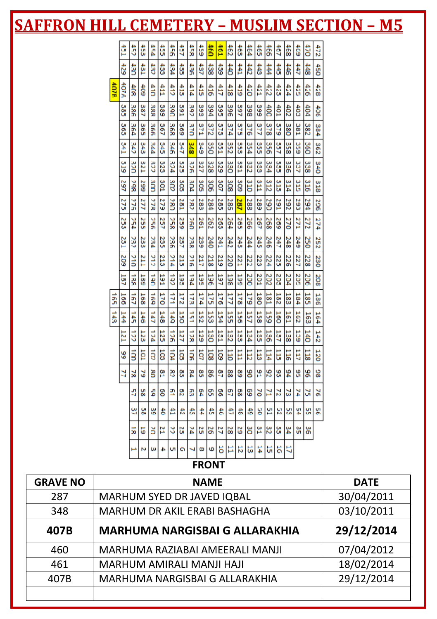|      | Ê    | å          | ŧ          | V-10      | ŝ               | 55            | ŝ    | š              | $\frac{1}{2}$   | ŝ                | <b>For</b>       | ŧ          | â          | ŧ   | ទឹ  | $\frac{46}{6}$ | ŝ                | $\frac{4}{3}$   | ទឹ  | ä            | 472           |
|------|------|------------|------------|-----------|-----------------|---------------|------|----------------|-----------------|------------------|------------------|------------|------------|-----|-----|----------------|------------------|-----------------|-----|--------------|---------------|
|      | 429  | â          | ĝ          | 43        | $\frac{43}{22}$ | 434           | 435  | 最先             | ŝ               | $\frac{438}{28}$ | $\frac{439}{29}$ | ŧ          | ŧ          | ŧ   | ŧ   | #              | ŧ                | 怠               | ₿   | 챯            | OS#           |
| 407R | 407A | 4OS        | â          | 410       | Ê               | 412           | 413  | 414            | $\frac{4}{12}$  | 416              | â                | 418        | 419        | tio | 421 | 422            | 429              | 424             | â   | $rac{4}{36}$ | 428           |
|      | 385  | 386        | 387        | 388       | 389             | <b>Sand</b>   | 591  | 392            | 393             | 394              | 395              | 396        | 397        | 398 | 399 | â              | $\frac{401}{20}$ | 402             | \$  | ₿            | $\frac{4}{3}$ |
|      | 363  | 564        | S65        | 36G       | 267             | ین<br>58      | 569  | 370            | 571             | 372              | S7S              | 374        | S75        | 376 | 277 | 378            | <b>S79</b>       | 380             | 180 | 382          | 384           |
|      | 14T  | ä          | 343        | 544       | S45             | 346           | 747  | <b>SDE</b>     | 849             | SS <sub>S</sub>  | 251              | š          | SSS<br>SSS | 354 | SSS | 958            | 257              | 358             | 65C | 360          | 362           |
|      | 6ľ8  | š          | <b>TZE</b> | š         | 323             | vcE           | 325  | š              | 327             | 328              | 329              | <b>OEE</b> | 331        | 332 | š   | 334            | š                | 336             | ă   | 338          | 34O           |
|      | 167  | <b>SP</b>  | 599        | äm        | 301             | ä             | SOS  | ăΩД            | SO <sub>5</sub> | 306              | š                | នីន        | 309        | 310 | ă11 | 312            | 313              | 314             | ដឹ  | 316          | 318           |
|      | 275  | 276        | Ш          | ăЯ        | 279             | š             | 281  | š              | 283             | 384              | 285              | 285        | 287        | 383 | 289 | š              | 162              | 292             | 290 | 167          | 506           |
|      | 253  | r5C        | 255        | š         | 257             | 35g           | 259  | ă              | 261             | 262              | 263              | 264        | 265        | 96  | 267 | 268            | 269              | 270             | 122 | 272          | 274           |
|      | 23.1 | 232        | 23         | 234       | 235             | <b>236</b>    | 257  | <b>SSS</b>     | 239             | 240              | 241              | 242        | 245        | μ4  | 245 | 246            | 247              | 248             | 249 | 250          | 252           |
|      | 209  | <b>STC</b> | Ĕ          | 312       | 21.3            | 214           | 21.5 | $\frac{2}{16}$ | 217             | 218              | 21.9             | 220        | 221        | 222 | 223 | 224            | 225              | 226             | 227 | 228          | 230           |
|      | 187  | š          | 139        | š         | 591             | á             | 193  | v61.           | 562             | 360              | 161              | 385        | 587        | 200 | 201 | 202            | 205              | 204             | 205 | 206          | 208           |
| 5    | 166  | á          | 168        | 551       | 570             | $\frac{1}{2}$ | 172  | 173            | 174             | 175              | 576              | 177        | 178        | 579 | 180 | 181            | 182              | 183             | 184 | 185          | 186           |
| ă    | 144  | ţ,         | 146        | 41        | $\frac{148}{1}$ | ti            | 150  | ž              | 152             | 153              | 154              | 52         | 56         | 157 | 158 | 559            | 560              | 181             | 201 | 163          | 164           |
|      | E    | $\ddot{5}$ | 12         | vcı.      | 125             | $\frac{1}{2}$ | 127  | $\frac{1}{2}$  | 529             | <b>DEL</b>       | 131              | 132        | 133        | 134 | 53  | <b>136</b>     | 137              | 138             | 539 | ă            | 242           |
|      | 89   | ğ          | ē          | $\vec{a}$ | ā               | 104           | 58   | ğ              | ą               | 108              | ā                | E          | E          | E   | E   | 114            | ă                | $\frac{11}{15}$ | E   | 118          | 120           |
|      | ă    | 딣          | 3          | g         | 얦               | g             | စ္က  | Ř              | ဗ္တ             | œ                | g                | 8          | ဇွ         | 90  | 뚐   | 82             | 99               | \$4             | ٩   | 96           | ខ្ល           |
|      |      | đ          | 녦          | 쀪         | g               | ቧ             | g    | R              | ă               | g                | g                | 9          | o<br>co    | ငွ  | ă   | N              | N                | జ               | Ņ   | ă            | š             |
|      |      | g          | 쏲          | မ္က       | 砉               | Ê             | ŧ    | 盎              | 4               | â                | ŧ                | ŧ          | 砉          | 扂   | 널   | 旧              | 9                | 뱚               | 쀺   | 녦            | 뱕             |
|      |      | 5          | 5          | ă         | B               | 3             | ដ    | ž              | ដ               | ႜ                | 5                | 28         | ដ          | ဗ္တ | ř   | ဗ္ဗ            | ပ္ပ              | 34              | မ္ပ | န္တ          |               |
|      |      |            | N          | ω         | 4               | u             | ۰    | ⊣              | ø               | ю                | ã                | Ħ          | 12         | 5   | 4   | G              | ă                | ä               |     |              |               |
|      |      |            |            |           |                 |               |      |                | <b>FRONT</b>    |                  |                  |            |            |     |     |                |                  |                 |     |              |               |

| <b>GRAVE NO</b> | <b>NAME</b>                           | <b>DATE</b> |
|-----------------|---------------------------------------|-------------|
| 287             | MARHUM SYED DR JAVED IQBAL            | 30/04/2011  |
| 348             | MARHUM DR AKIL ERABI BASHAGHA         | 03/10/2011  |
| 407B            | <b>MARHUMA NARGISBAI G ALLARAKHIA</b> | 29/12/2014  |
| 460             | MARHUMA RAZIABAI AMEERALI MANJI       | 07/04/2012  |
| 461             | MARHUM AMIRALI MANJI HAJI             | 18/02/2014  |
| 407B            | MARHUMA NARGISBAI G ALLARAKHIA        | 29/12/2014  |
|                 |                                       |             |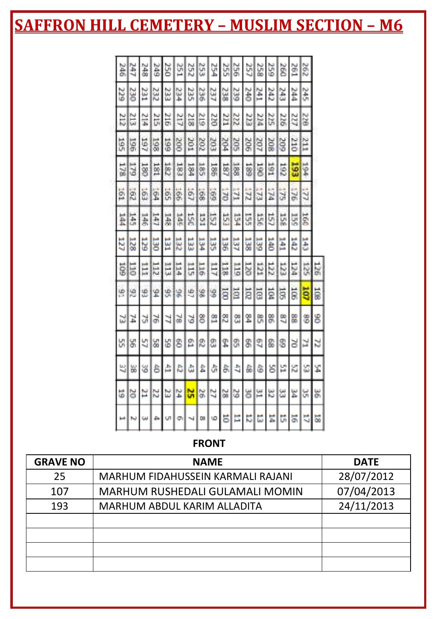#### **FRONT**

| <b>GRAVE NO</b> | <b>NAME</b>                       | <b>DATE</b> |
|-----------------|-----------------------------------|-------------|
| 25              | MARHUM FIDAHUSSEIN KARMALI RAJANI | 28/07/2012  |
| 107             | MARHUM RUSHEDALI GULAMALI MOMIN   | 07/04/2013  |
| 193             | MARHUM ABDUL KARIM ALLADITA       | 24/11/2013  |
|                 |                                   |             |
|                 |                                   |             |
|                 |                                   |             |
|                 |                                   |             |